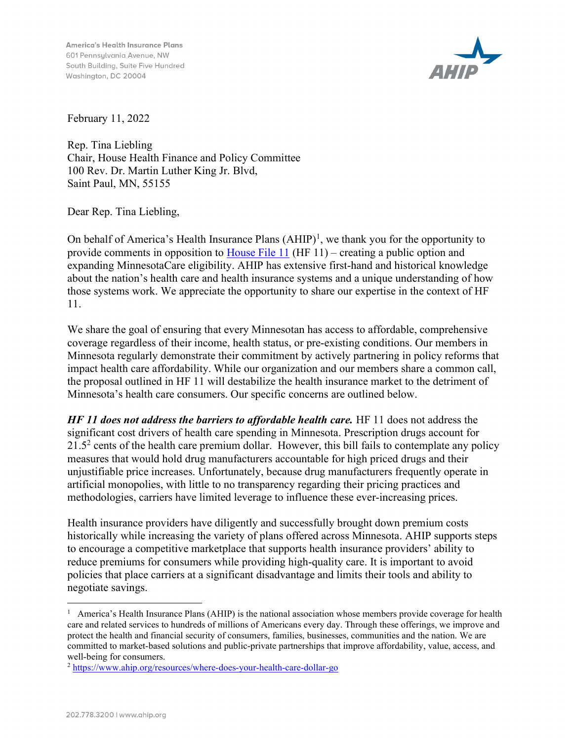**America's Health Insurance Plans** 601 Pennsulvania Avenue, NW South Building, Suite Five Hundred Washington, DC 20004



February 11, 2022

Rep. Tina Liebling Chair, House Health Finance and Policy Committee 100 Rev. Dr. Martin Luther King Jr. Blvd, Saint Paul, MN, 55155

Dear Rep. Tina Liebling,

On behalf of America's Health Insurance Plans  $(AHIP)^1$ , we thank you for the opportunity to provide comments in opposition to House File 11 (HF 11) – creating a public option and expanding MinnesotaCare eligibility. AHIP has extensive first-hand and historical knowledge about the nation's health care and health insurance systems and a unique understanding of how those systems work. We appreciate the opportunity to share our expertise in the context of HF 11.

We share the goal of ensuring that every Minnesotan has access to affordable, comprehensive coverage regardless of their income, health status, or pre-existing conditions. Our members in Minnesota regularly demonstrate their commitment by actively partnering in policy reforms that impact health care affordability. While our organization and our members share a common call, the proposal outlined in HF 11 will destabilize the health insurance market to the detriment of Minnesota's health care consumers. Our specific concerns are outlined below.

 $HF$  11 does not address the barriers to affordable health care. HF 11 does not address the significant cost drivers of health care spending in Minnesota. Prescription drugs account for 21.5<sup>2</sup> cents of the health care premium dollar. However, this bill fails to contemplate any policy measures that would hold drug manufacturers accountable for high priced drugs and their unjustifiable price increases. Unfortunately, because drug manufacturers frequently operate in artificial monopolies, with little to no transparency regarding their pricing practices and methodologies, carriers have limited leverage to influence these ever-increasing prices.

Health insurance providers have diligently and successfully brought down premium costs historically while increasing the variety of plans offered across Minnesota. AHIP supports steps to encourage a competitive marketplace that supports health insurance providers' ability to reduce premiums for consumers while providing high-quality care. It is important to avoid policies that place carriers at a significant disadvantage and limits their tools and ability to negotiate savings.

<sup>&</sup>lt;sup>1</sup> America's Health Insurance Plans (AHIP) is the national association whose members provide coverage for health care and related services to hundreds of millions of Americans every day. Through these offerings, we improve and protect the health and financial security of consumers, families, businesses, communities and the nation. We are committed to market-based solutions and public-private partnerships that improve affordability, value, access, and well-being for consumers.

<sup>2</sup> https://www.ahip.org/resources/where-does-your-health-care-dollar-go